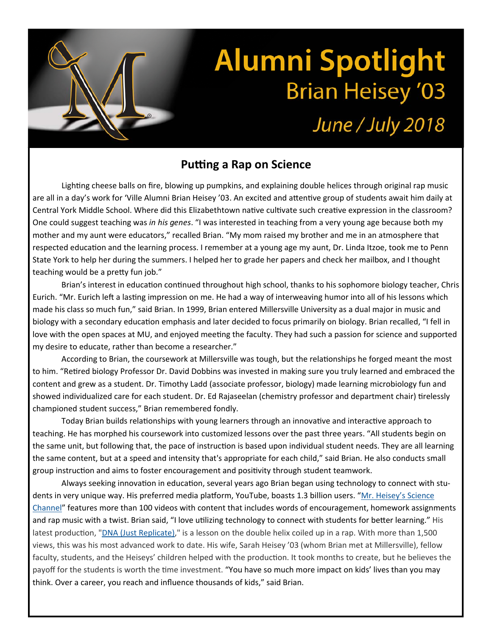## **Alumni Spotlight Brian Heisey '03**

## June / July 2018

## **Puƫng a Rap on Science**

Lighting cheese balls on fire, blowing up pumpkins, and explaining double helices through original rap music are all in a day's work for 'Ville Alumni Brian Heisey '03. An excited and attentive group of students await him daily at Central York Middle School. Where did this Elizabethtown native cultivate such creative expression in the classroom? One could suggest teaching was *in his genes*. "I was interested in teaching from a very young age because both my mother and my aunt were educators," recalled Brian. "My mom raised my brother and me in an atmosphere that respected education and the learning process. I remember at a young age my aunt, Dr. Linda Itzoe, took me to Penn State York to help her during the summers. I helped her to grade her papers and check her mailbox, and I thought teaching would be a pretty fun job."

Brian's interest in education continued throughout high school, thanks to his sophomore biology teacher, Chris Eurich. "Mr. Eurich left a lasting impression on me. He had a way of interweaving humor into all of his lessons which made his class so much fun," said Brian. In 1999, Brian entered Millersville University as a dual major in music and biology with a secondary education emphasis and later decided to focus primarily on biology. Brian recalled, "I fell in love with the open spaces at MU, and enjoyed meeting the faculty. They had such a passion for science and supported my desire to educate, rather than become a researcher."

According to Brian, the coursework at Millersville was tough, but the relationships he forged meant the most to him. "Retired biology Professor Dr. David Dobbins was invested in making sure you truly learned and embraced the content and grew as a student. Dr. Timothy Ladd (associate professor, biology) made learning microbiology fun and showed individualized care for each student. Dr. Ed Rajaseelan (chemistry professor and department chair) tirelessly championed student success," Brian remembered fondly.

Today Brian builds relationships with young learners through an innovative and interactive approach to teaching. He has morphed his coursework into customized lessons over the past three years. "All students begin on the same unit, but following that, the pace of instruction is based upon individual student needs. They are all learning the same content, but at a speed and intensity that's appropriate for each child," said Brian. He also conducts small group instruction and aims to foster encouragement and positivity through student teamwork.

Always seeking innovation in education, several years ago Brian began using technology to connect with students in very unique way. His preferred media platform, YouTube, boasts 1.3 billion users. "Mr. Heisey's Science Channel" features more than 100 videos with content that includes words of encouragement, homework assignments and rap music with a twist. Brian said, "I love utilizing technology to connect with students for better learning." His latest production, "DNA (Just Replicate)," is a lesson on the double helix coiled up in a rap. With more than 1,500 views, this was his most advanced work to date. His wife, Sarah Heisey '03 (whom Brian met at Millersville), fellow faculty, students, and the Heiseys' children helped with the production. It took months to create, but he believes the payoff for the students is worth the time investment. "You have so much more impact on kids' lives than you may think. Over a career, you reach and influence thousands of kids," said Brian.